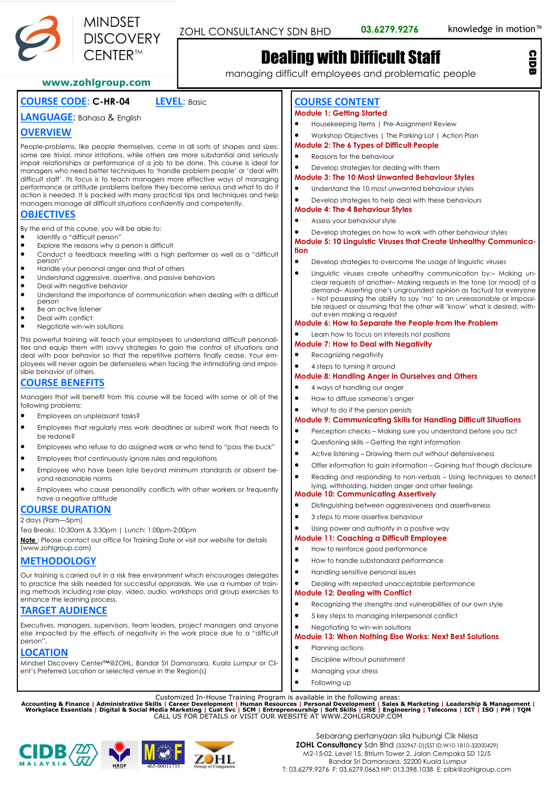

CIDB

# Dealing with Difficult Staff

managing difficult employees and problematic people

**www.zohlgroup.com**

By the end of this course, you will be able to: • Identify a "difficult person"

Deal with negative behavior

Be an active listener • Deal with conflict • Negotiate win-win solutions

• Explore the reasons why a person is difficult

• Handle your personal anger and that of others Understand aggressive, assertive, and passive behaviors

## **COURSE CODE**: **C-HR-04 LEVEL**: Basic

**OVERVIEW**

**OBJECTIVES**

person"

person

sible behavior of others. **COURSE BENEFITS**

following problems:

be redone?

**LANGUAGE**: Bahasa & English

People-problems, like people themselves, come in all sorts of shapes and sizes: some are trivial, minor irritations, while others are more substantial and seriously impair relationships or performance of a job to be done. This course is ideal for managers who need better techniques to 'handle problem people' or 'deal with difficult staff'. Its focus is to teach managers more effective ways of managing performance or attitude problems before they become serious and what to do if action is needed. It is packed with many practical tips and techniques and help

• Conduct a feedback meeting with a high performer as well as a "difficult

• Understand the importance of communication when dealing with a difficult

This powerful training will teach your employees to understand difficult personalities and equip them with savvy strategies to gain the control of situations and deal with poor behavior so that the repetitive patterns finally cease. Your employees will never again be defenseless when facing the intimidating and impos-

Managers that will benefit from this course will be faced with some or all of the

• Employees that regularly miss work deadlines or submit work that needs to

• Employees who refuse to do assigned work or who tend to "pass the buck"

• Employee who have been late beyond minimum standards or absent be-

managers manage all difficult situations confidently and competently.

## **COURSE CONTENT**

#### **Module 1: Getting Started**

- Housekeeping Items | Pre-Assignment Review
	- Workshop Objectives | The Parking Lot | Action Plan
- **Module 2: The 6 Types of Difficult People**
- Reasons for the behaviour
- Develop strategies for dealing with them
- **Module 3: The 10 Most Unwanted Behaviour Styles**
- Understand the 10 most unwanted behaviour styles
- Develop strategies to help deal with these behaviours
- **Module 4: The 4 Behaviour Styles**
- Assess your behaviour style
- Develop strategies on how to work with other behaviour styles
- **Module 5: 10 Linguistic Viruses that Create Unhealthy Communication**
- Develop strategies to overcome the usage of linguistic viruses
- Linguistic viruses create unhealthy communication by:– Making unclear requests of another– Making requests in the tone (or mood) of a demand– Asserting one's ungrounded opinion as factual for everyone – Not possessing the ability to say 'no' to an unreasonable or impossible request or assuming that the other will 'know' what is desired, without even making a request

#### **Module 6: How to Separate the People from the Problem**

- Learn how to focus on interests not positions
- **Module 7: How to Deal with Negativity**
- Recognizing negativity

#### 4 steps to turning it around

**Module 8: Handling Anger in Ourselves and Others**

### • 4 ways of handling our anger

- How to diffuse someone's anger
- What to do if the person persists

#### **Module 9: Communicating Skills for Handling Difficult Situations**

- Perception checks Making sure you understand before you act
- Questioning skills Getting the right information
- Active listening Drawing them out without defensiveness
- Offer information to gain information Gaining trust though disclosure
- Reading and responding to non-verbals Using techniques to detect lying, withholding, hidden anger and other feelings

## **Module 10: Communicating Assertively**

- Distinguishing between aggressiveness and assertiveness
- 3 steps to more assertive behaviour

#### Using power and authority in a positive way

#### **Module 11: Coaching a Difficult Employee**

- How to reinforce good performance
- How to handle substandard performance
- Handling sensitive personal issues
- Dealing with repeated unacceptable performance

#### **Module 12: Dealing with Conflict**

- Recognizing the strengths and vulnerabilities of our own style
- 5 key steps to managing interpersonal conflict
- Negotiating to win-win solutions

#### **Module 13: When Nothing Else Works: Next Best Solutions**

- Planning actions
- Discipline without punishment
- Managing your stress
- Following up

Customized In-House Training Program is available in the following areas:<br>Accounting & Finance | Administrative Skills | Career Development | Human Resources | Personal Development | Sales & Marketing | Leadership & Manage







• Employees who cause personality conflicts with other workers or frequently have a negative attitude

yond reasonable norms

• Employees on unpleasant tasks?

#### **COURSE DURATION**

2 days (9am—5pm)

Tea Breaks: 10:30am & 3:30pm | Lunch: 1:00pm-2:00pm

**Note** : Please contact our office for Training Date or visit our website for details (www.zohlgroup.com)

## **METHODOLOGY**

Our training is carried out in a risk free environment which encourages delegates to practice the skills needed for successful appraisals. We use a number of training methods including role-play, video, audio, workshops and group exercises to enhance the learning process.

Executives, managers, supervisors, team leaders, project managers and anyone else impacted by the effects of negativity in the work place due to a "difficult person".

## **LOCATION**

- Mindset Discovery Center™@ZOHL, Bandar Sri Damansara, Kuala Lumpur or Client's Preferred Location or selected venue in the Region(s)
	-

• Employees that continuously ignore rules and regulations

**TARGET AUDIENCE**